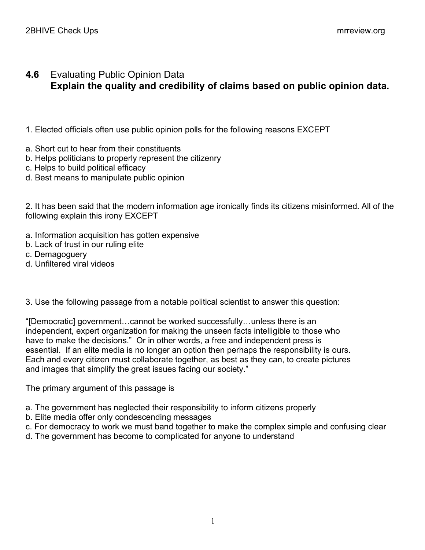## **4.6** Evaluating Public Opinion Data **Explain the quality and credibility of claims based on public opinion data.**

- 1. Elected officials often use public opinion polls for the following reasons EXCEPT
- a. Short cut to hear from their constituents
- b. Helps politicians to properly represent the citizenry
- c. Helps to build political efficacy
- d. Best means to manipulate public opinion

2. It has been said that the modern information age ironically finds its citizens misinformed. All of the following explain this irony EXCEPT

- a. Information acquisition has gotten expensive
- b. Lack of trust in our ruling elite
- c. Demagoguery
- d. Unfiltered viral videos
- 3. Use the following passage from a notable political scientist to answer this question:

"[Democratic] government…cannot be worked successfully…unless there is an independent, expert organization for making the unseen facts intelligible to those who have to make the decisions." Or in other words, a free and independent press is essential. If an elite media is no longer an option then perhaps the responsibility is ours. Each and every citizen must collaborate together, as best as they can, to create pictures and images that simplify the great issues facing our society."

The primary argument of this passage is

- a. The government has neglected their responsibility to inform citizens properly
- b. Elite media offer only condescending messages
- c. For democracy to work we must band together to make the complex simple and confusing clear
- d. The government has become to complicated for anyone to understand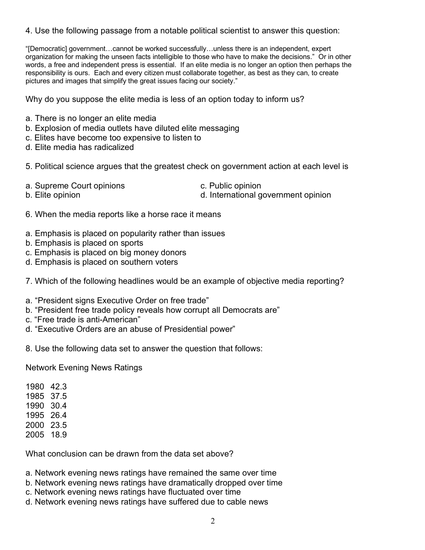## 4. Use the following passage from a notable political scientist to answer this question:

"[Democratic] government…cannot be worked successfully…unless there is an independent, expert organization for making the unseen facts intelligible to those who have to make the decisions." Or in other words, a free and independent press is essential. If an elite media is no longer an option then perhaps the responsibility is ours. Each and every citizen must collaborate together, as best as they can, to create pictures and images that simplify the great issues facing our society."

Why do you suppose the elite media is less of an option today to inform us?

- a. There is no longer an elite media
- b. Explosion of media outlets have diluted elite messaging
- c. Elites have become too expensive to listen to
- d. Elite media has radicalized

5. Political science argues that the greatest check on government action at each level is

a. Supreme Court opinions and c. Public opinion

b. Elite opinion **b.** Elite opinion **d.** International government opinion

- 6. When the media reports like a horse race it means
- a. Emphasis is placed on popularity rather than issues
- b. Emphasis is placed on sports
- c. Emphasis is placed on big money donors
- d. Emphasis is placed on southern voters
- 7. Which of the following headlines would be an example of objective media reporting?
- a. "President signs Executive Order on free trade"
- b. "President free trade policy reveals how corrupt all Democrats are"
- c. "Free trade is anti-American"
- d. "Executive Orders are an abuse of Presidential power"

8. Use the following data set to answer the question that follows:

Network Evening News Ratings

| 1980 | 42.3 |
|------|------|
| 1985 | 37.5 |
| 1990 | 30.4 |
| 1995 | 26.4 |
| 2000 | 23.5 |
| 2005 | 18.9 |
|      |      |

What conclusion can be drawn from the data set above?

- a. Network evening news ratings have remained the same over time
- b. Network evening news ratings have dramatically dropped over time
- c. Network evening news ratings have fluctuated over time
- d. Network evening news ratings have suffered due to cable news